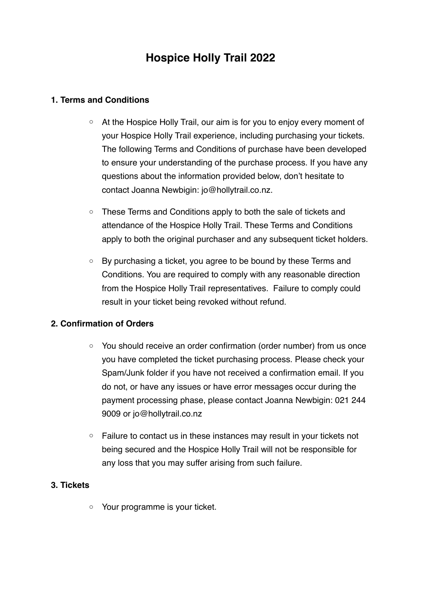# **Hospice Holly Trail 2022**

# **1. Terms and Conditions**

- o At the Hospice Holly Trail, our aim is for you to enjoy every moment of your Hospice Holly Trail experience, including purchasing your tickets. The following Terms and Conditions of purchase have been developed to ensure your understanding of the purchase process. If you have any questions about the information provided below, don't hesitate to contact Joanna Newbigin: jo@hollytrail.co.nz.
- o These Terms and Conditions apply to both the sale of tickets and attendance of the Hospice Holly Trail. These Terms and Conditions apply to both the original purchaser and any subsequent ticket holders.
- o By purchasing a ticket, you agree to be bound by these Terms and Conditions. You are required to comply with any reasonable direction from the Hospice Holly Trail representatives. Failure to comply could result in your ticket being revoked without refund.

# **2. Confirmation of Orders**

- o You should receive an order confirmation (order number) from us once you have completed the ticket purchasing process. Please check your Spam/Junk folder if you have not received a confirmation email. If you do not, or have any issues or have error messages occur during the payment processing phase, please contact Joanna Newbigin: 021 244 9009 or jo@hollytrail.co.nz
- o Failure to contact us in these instances may result in your tickets not being secured and the Hospice Holly Trail will not be responsible for any loss that you may suffer arising from such failure.

# **3. Tickets**

o Your programme is your ticket.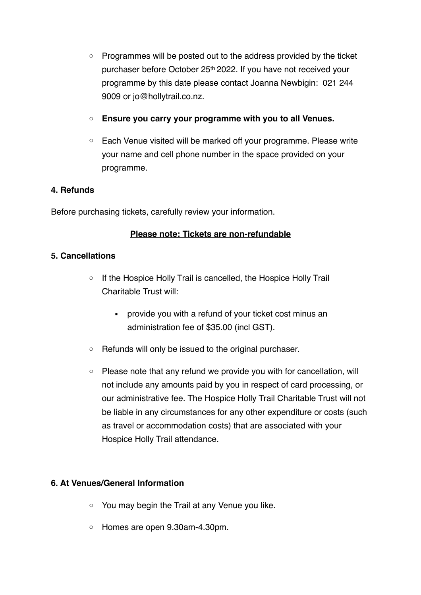- $\circ$  Programmes will be posted out to the address provided by the ticket purchaser before October 25th 2022. If you have not received your programme by this date please contact Joanna Newbigin: 021 244 9009 or jo@hollytrail.co.nz.
- o **Ensure you carry your programme with you to all Venues.**
- o Each Venue visited will be marked off your programme. Please write your name and cell phone number in the space provided on your programme.

#### **4. Refunds**

Before purchasing tickets, carefully review your information.

#### **Please note: Tickets are non-refundable**

#### **5. Cancellations**

- o If the Hospice Holly Trail is cancelled, the Hospice Holly Trail Charitable Trust will:
	- provide you with a refund of your ticket cost minus an administration fee of \$35.00 (incl GST).
- o Refunds will only be issued to the original purchaser.
- $\circ$  Please note that any refund we provide you with for cancellation, will not include any amounts paid by you in respect of card processing, or our administrative fee. The Hospice Holly Trail Charitable Trust will not be liable in any circumstances for any other expenditure or costs (such as travel or accommodation costs) that are associated with your Hospice Holly Trail attendance.

# **6. At Venues/General Information**

- o You may begin the Trail at any Venue you like.
- o Homes are open 9.30am-4.30pm.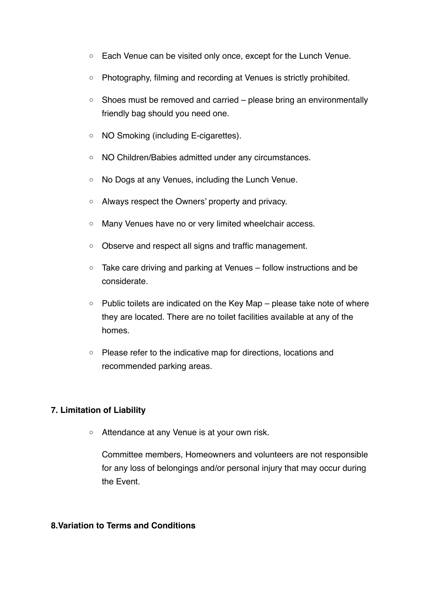- o Each Venue can be visited only once, except for the Lunch Venue.
- o Photography, filming and recording at Venues is strictly prohibited.
- $\circ$  Shoes must be removed and carried please bring an environmentally friendly bag should you need one.
- o NO Smoking (including E-cigarettes).
- o NO Children/Babies admitted under any circumstances.
- o No Dogs at any Venues, including the Lunch Venue.
- o Always respect the Owners' property and privacy.
- o Many Venues have no or very limited wheelchair access.
- o Observe and respect all signs and traffic management.
- o Take care driving and parking at Venues follow instructions and be considerate.
- $\circ$  Public toilets are indicated on the Key Map please take note of where they are located. There are no toilet facilities available at any of the homes.
- o Please refer to the indicative map for directions, locations and recommended parking areas.

# **7. Limitation of Liability**

o Attendance at any Venue is at your own risk.

Committee members, Homeowners and volunteers are not responsible for any loss of belongings and/or personal injury that may occur during the Event.

#### **8.Variation to Terms and Conditions**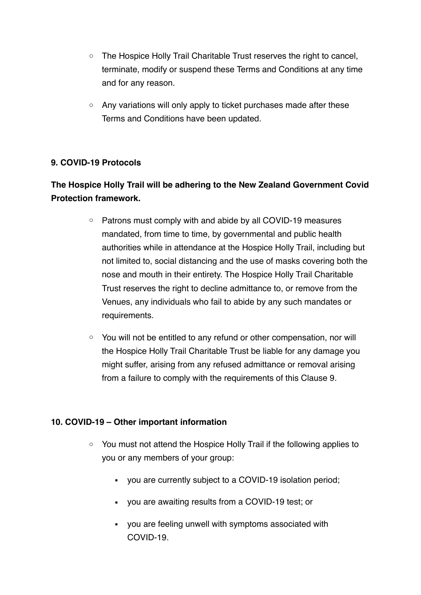- The Hospice Holly Trail Charitable Trust reserves the right to cancel, terminate, modify or suspend these Terms and Conditions at any time and for any reason.
- o Any variations will only apply to ticket purchases made after these Terms and Conditions have been updated.

# **9. COVID-19 Protocols**

# **The Hospice Holly Trail will be adhering to the New Zealand Government Covid Protection framework.**

- o Patrons must comply with and abide by all COVID-19 measures mandated, from time to time, by governmental and public health authorities while in attendance at the Hospice Holly Trail, including but not limited to, social distancing and the use of masks covering both the nose and mouth in their entirety. The Hospice Holly Trail Charitable Trust reserves the right to decline admittance to, or remove from the Venues, any individuals who fail to abide by any such mandates or requirements.
- o You will not be entitled to any refund or other compensation, nor will the Hospice Holly Trail Charitable Trust be liable for any damage you might suffer, arising from any refused admittance or removal arising from a failure to comply with the requirements of this Clause 9.

# **10. COVID-19 – Other important information**

- o You must not attend the Hospice Holly Trail if the following applies to you or any members of your group:
	- you are currently subject to a COVID-19 isolation period;
	- you are awaiting results from a COVID-19 test; or
	- you are feeling unwell with symptoms associated with COVID-19.